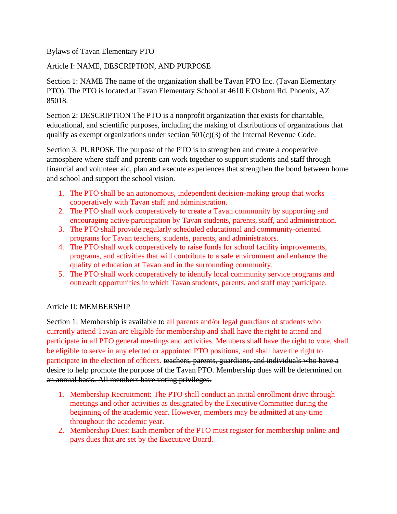Bylaws of Tavan Elementary PTO

Article I: NAME, DESCRIPTION, AND PURPOSE

Section 1: NAME The name of the organization shall be Tavan PTO Inc. (Tavan Elementary PTO). The PTO is located at Tavan Elementary School at 4610 E Osborn Rd, Phoenix, AZ 85018.

Section 2: DESCRIPTION The PTO is a nonprofit organization that exists for charitable, educational, and scientific purposes, including the making of distributions of organizations that qualify as exempt organizations under section  $501(c)(3)$  of the Internal Revenue Code.

Section 3: PURPOSE The purpose of the PTO is to strengthen and create a cooperative atmosphere where staff and parents can work together to support students and staff through financial and volunteer aid, plan and execute experiences that strengthen the bond between home and school and support the school vision.

- 1. The PTO shall be an autonomous, independent decision-making group that works cooperatively with Tavan staff and administration.
- 2. The PTO shall work cooperatively to create a Tavan community by supporting and encouraging active participation by Tavan students, parents, staff, and administration.
- 3. The PTO shall provide regularly scheduled educational and community-oriented programs for Tavan teachers, students, parents, and administrators.
- 4. The PTO shall work cooperatively to raise funds for school facility improvements, programs, and activities that will contribute to a safe environment and enhance the quality of education at Tavan and in the surrounding community.
- 5. The PTO shall work cooperatively to identify local community service programs and outreach opportunities in which Tavan students, parents, and staff may participate.

# Article II: MEMBERSHIP

Section 1: Membership is available to all parents and/or legal guardians of students who currently attend Tavan are eligible for membership and shall have the right to attend and participate in all PTO general meetings and activities. Members shall have the right to vote, shall be eligible to serve in any elected or appointed PTO positions, and shall have the right to participate in the election of officers. teachers, parents, guardians, and individuals who have a desire to help promote the purpose of the Tavan PTO. Membership dues will be determined on an annual basis. All members have voting privileges.

- 1. Membership Recruitment: The PTO shall conduct an initial enrollment drive through meetings and other activities as designated by the Executive Committee during the beginning of the academic year. However, members may be admitted at any time throughout the academic year.
- 2. Membership Dues: Each member of the PTO must register for membership online and pays dues that are set by the Executive Board.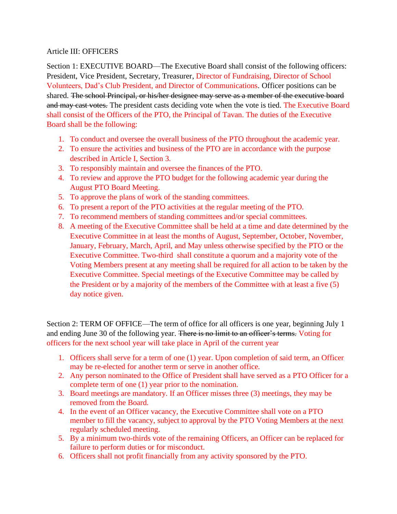#### Article III: OFFICERS

Section 1: EXECUTIVE BOARD—The Executive Board shall consist of the following officers: President, Vice President, Secretary, Treasurer, Director of Fundraising, Director of School Volunteers, Dad's Club President, and Director of Communications. Officer positions can be shared. The school Principal, or his/her designee may serve as a member of the executive board and may cast votes. The president casts deciding vote when the vote is tied. The Executive Board shall consist of the Officers of the PTO, the Principal of Tavan. The duties of the Executive Board shall be the following:

- 1. To conduct and oversee the overall business of the PTO throughout the academic year.
- 2. To ensure the activities and business of the PTO are in accordance with the purpose described in Article I, Section 3.
- 3. To responsibly maintain and oversee the finances of the PTO.
- 4. To review and approve the PTO budget for the following academic year during the August PTO Board Meeting.
- 5. To approve the plans of work of the standing committees.
- 6. To present a report of the PTO activities at the regular meeting of the PTO.
- 7. To recommend members of standing committees and/or special committees.
- 8. A meeting of the Executive Committee shall be held at a time and date determined by the Executive Committee in at least the months of August, September, October, November, January, February, March, April, and May unless otherwise specified by the PTO or the Executive Committee. Two-third shall constitute a quorum and a majority vote of the Voting Members present at any meeting shall be required for all action to be taken by the Executive Committee. Special meetings of the Executive Committee may be called by the President or by a majority of the members of the Committee with at least a five (5) day notice given.

Section 2: TERM OF OFFICE—The term of office for all officers is one year, beginning July 1 and ending June 30 of the following year. There is no limit to an officer's terms. Voting for officers for the next school year will take place in April of the current year

- 1. Officers shall serve for a term of one (1) year. Upon completion of said term, an Officer may be re-elected for another term or serve in another office.
- 2. Any person nominated to the Office of President shall have served as a PTO Officer for a complete term of one (1) year prior to the nomination.
- 3. Board meetings are mandatory. If an Officer misses three (3) meetings, they may be removed from the Board.
- 4. In the event of an Officer vacancy, the Executive Committee shall vote on a PTO member to fill the vacancy, subject to approval by the PTO Voting Members at the next regularly scheduled meeting.
- 5. By a minimum two-thirds vote of the remaining Officers, an Officer can be replaced for failure to perform duties or for misconduct.
- 6. Officers shall not profit financially from any activity sponsored by the PTO.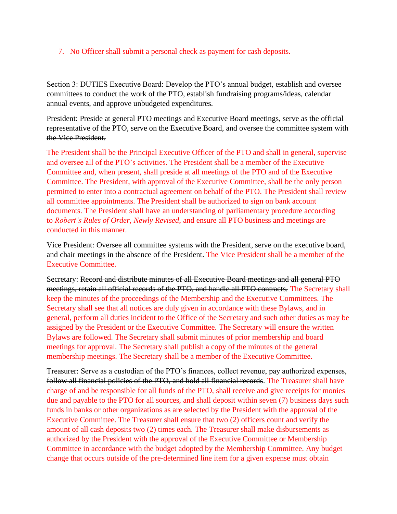#### 7. No Officer shall submit a personal check as payment for cash deposits.

Section 3: DUTIES Executive Board: Develop the PTO's annual budget, establish and oversee committees to conduct the work of the PTO, establish fundraising programs/ideas, calendar annual events, and approve unbudgeted expenditures.

President: Preside at general PTO meetings and Executive Board meetings, serve as the official representative of the PTO, serve on the Executive Board, and oversee the committee system with the Vice President.

The President shall be the Principal Executive Officer of the PTO and shall in general, supervise and oversee all of the PTO's activities. The President shall be a member of the Executive Committee and, when present, shall preside at all meetings of the PTO and of the Executive Committee. The President, with approval of the Executive Committee, shall be the only person permitted to enter into a contractual agreement on behalf of the PTO. The President shall review all committee appointments. The President shall be authorized to sign on bank account documents. The President shall have an understanding of parliamentary procedure according to *Robert's Rules of Order, Newly Revised*, and ensure all PTO business and meetings are conducted in this manner.

Vice President: Oversee all committee systems with the President, serve on the executive board, and chair meetings in the absence of the President. The Vice President shall be a member of the Executive Committee.

Secretary: Record and distribute minutes of all Executive Board meetings and all general PTO meetings, retain all official records of the PTO, and handle all PTO contracts. The Secretary shall keep the minutes of the proceedings of the Membership and the Executive Committees. The Secretary shall see that all notices are duly given in accordance with these Bylaws, and in general, perform all duties incident to the Office of the Secretary and such other duties as may be assigned by the President or the Executive Committee. The Secretary will ensure the written Bylaws are followed. The Secretary shall submit minutes of prior membership and board meetings for approval. The Secretary shall publish a copy of the minutes of the general membership meetings. The Secretary shall be a member of the Executive Committee.

Treasurer: Serve as a custodian of the PTO's finances, collect revenue, pay authorized expenses, follow all financial policies of the PTO, and hold all financial records. The Treasurer shall have charge of and be responsible for all funds of the PTO, shall receive and give receipts for monies due and payable to the PTO for all sources, and shall deposit within seven (7) business days such funds in banks or other organizations as are selected by the President with the approval of the Executive Committee. The Treasurer shall ensure that two (2) officers count and verify the amount of all cash deposits two (2) times each. The Treasurer shall make disbursements as authorized by the President with the approval of the Executive Committee or Membership Committee in accordance with the budget adopted by the Membership Committee. Any budget change that occurs outside of the pre-determined line item for a given expense must obtain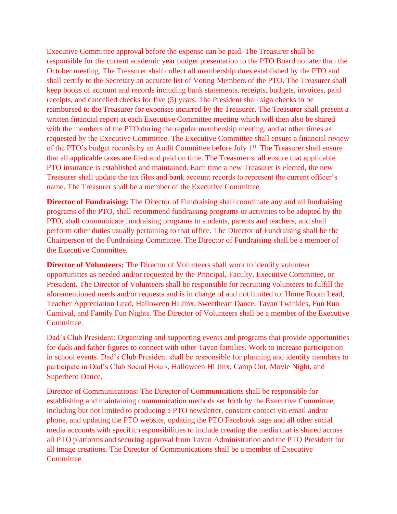Executive Committee approval before the expense can be paid. The Treasurer shall be responsible for the current academic year budget presentation to the PTO Board no later than the October meeting. The Treasurer shall collect all membership dues established by the PTO and shall certify to the Secretary an accurate list of Voting Members of the PTO. The Treasurer shall keep books of account and records including bank statements, receipts, budgets, invoices, paid receipts, and cancelled checks for five (5) years. The President shall sign checks to be reimbursed to the Treasurer for expenses incurred by the Treasurer. The Treasurer shall present a written financial report at each Executive Committee meeting which will then also be shared with the members of the PTO during the regular membership meeting, and at other times as requested by the Executive Committee. The Executive Committee shall ensure a financial review of the PTO's budget records by an Audit Committee before July 1<sup>st</sup>. The Treasurer shall ensure that all applicable taxes are filed and paid on time. The Treasurer shall ensure that applicable PTO insurance is established and maintained. Each time a new Treasurer is elected, the new Treasurer shall update the tax files and bank account records to represent the current officer's name. The Treasurer shall be a member of the Executive Committee.

**Director of Fundraising:** The Director of Fundraising shall coordinate any and all fundraising programs of the PTO, shall recommend fundraising programs or activities to be adopted by the PTO, shall communicate fundraising programs to students, parents and teachers, and shall perform other duties usually pertaining to that office. The Director of Fundraising shall be the Chairperson of the Fundraising Committee. The Director of Fundraising shall be a member of the Executive Committee.

**Director of Volunteers:** The Director of Volunteers shall work to identify volunteer opportunities as needed and/or requested by the Principal, Faculty, Executive Committee, or President. The Director of Volunteers shall be responsible for recruiting volunteers to fulfill the aforementioned needs and/or requests and is in charge of and not limited to: Home Room Lead, Teacher Appreciation Lead, Halloween Hi Jinx, Sweetheart Dance, Tavan Twinkles, Fun Run Carnival, and Family Fun Nights. The Director of Volunteers shall be a member of the Executive Committee.

Dad's Club President: Organizing and supporting events and programs that provide opportunities for dads and father figures to connect with other Tavan families. Work to increase participation in school events. Dad's Club President shall be responsible for planning and identify members to participate in Dad's Club Social Hours, Halloween Hi Jinx, Camp Out, Movie Night, and Superhero Dance.

Director of Communications: The Director of Communications shall be responsible for establishing and maintaining communication methods set forth by the Executive Committee, including but not limited to producing a PTO newsletter, constant contact via email and/or phone, and updating the PTO website, updating the PTO Facebook page and all other social media accounts with specific responsibilities to include creating the media that is shared across all PTO platforms and securing approval from Tavan Administration and the PTO President for all image creations. The Director of Communications shall be a member of Executive Committee.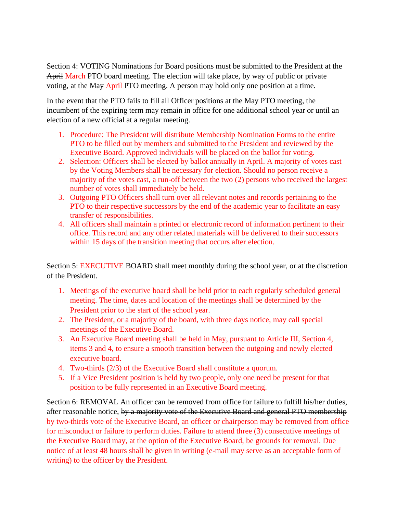Section 4: VOTING Nominations for Board positions must be submitted to the President at the April March PTO board meeting. The election will take place, by way of public or private voting, at the May April PTO meeting. A person may hold only one position at a time.

In the event that the PTO fails to fill all Officer positions at the May PTO meeting, the incumbent of the expiring term may remain in office for one additional school year or until an election of a new official at a regular meeting.

- 1. Procedure: The President will distribute Membership Nomination Forms to the entire PTO to be filled out by members and submitted to the President and reviewed by the Executive Board. Approved individuals will be placed on the ballot for voting.
- 2. Selection: Officers shall be elected by ballot annually in April. A majority of votes cast by the Voting Members shall be necessary for election. Should no person receive a majority of the votes cast, a run-off between the two (2) persons who received the largest number of votes shall immediately be held.
- 3. Outgoing PTO Officers shall turn over all relevant notes and records pertaining to the PTO to their respective successors by the end of the academic year to facilitate an easy transfer of responsibilities.
- 4. All officers shall maintain a printed or electronic record of information pertinent to their office. This record and any other related materials will be delivered to their successors within 15 days of the transition meeting that occurs after election.

Section 5: EXECUTIVE BOARD shall meet monthly during the school year, or at the discretion of the President.

- 1. Meetings of the executive board shall be held prior to each regularly scheduled general meeting. The time, dates and location of the meetings shall be determined by the President prior to the start of the school year.
- 2. The President, or a majority of the board, with three days notice, may call special meetings of the Executive Board.
- 3. An Executive Board meeting shall be held in May, pursuant to Article III, Section 4, items 3 and 4, to ensure a smooth transition between the outgoing and newly elected executive board.
- 4. Two-thirds (2/3) of the Executive Board shall constitute a quorum.
- 5. If a Vice President position is held by two people, only one need be present for that position to be fully represented in an Executive Board meeting.

Section 6: REMOVAL An officer can be removed from office for failure to fulfill his/her duties, after reasonable notice, by a majority vote of the Executive Board and general PTO membership by two-thirds vote of the Executive Board, an officer or chairperson may be removed from office for misconduct or failure to perform duties. Failure to attend three (3) consecutive meetings of the Executive Board may, at the option of the Executive Board, be grounds for removal. Due notice of at least 48 hours shall be given in writing (e-mail may serve as an acceptable form of writing) to the officer by the President.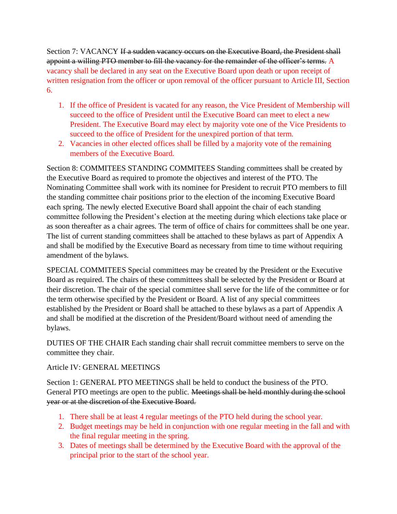Section 7: VACANCY If a sudden vacancy occurs on the Executive Board, the President shall appoint a willing PTO member to fill the vacancy for the remainder of the officer's terms. A vacancy shall be declared in any seat on the Executive Board upon death or upon receipt of written resignation from the officer or upon removal of the officer pursuant to Article III, Section 6.

- 1. If the office of President is vacated for any reason, the Vice President of Membership will succeed to the office of President until the Executive Board can meet to elect a new President. The Executive Board may elect by majority vote one of the Vice Presidents to succeed to the office of President for the unexpired portion of that term.
- 2. Vacancies in other elected offices shall be filled by a majority vote of the remaining members of the Executive Board.

Section 8: COMMITEES STANDING COMMITEES Standing committees shall be created by the Executive Board as required to promote the objectives and interest of the PTO. The Nominating Committee shall work with its nominee for President to recruit PTO members to fill the standing committee chair positions prior to the election of the incoming Executive Board each spring. The newly elected Executive Board shall appoint the chair of each standing committee following the President's election at the meeting during which elections take place or as soon thereafter as a chair agrees. The term of office of chairs for committees shall be one year. The list of current standing committees shall be attached to these bylaws as part of Appendix A and shall be modified by the Executive Board as necessary from time to time without requiring amendment of the bylaws.

SPECIAL COMMITEES Special committees may be created by the President or the Executive Board as required. The chairs of these committees shall be selected by the President or Board at their discretion. The chair of the special committee shall serve for the life of the committee or for the term otherwise specified by the President or Board. A list of any special committees established by the President or Board shall be attached to these bylaws as a part of Appendix A and shall be modified at the discretion of the President/Board without need of amending the bylaws.

DUTIES OF THE CHAIR Each standing chair shall recruit committee members to serve on the committee they chair.

# Article IV: GENERAL MEETINGS

Section 1: GENERAL PTO MEETINGS shall be held to conduct the business of the PTO. General PTO meetings are open to the public. Meetings shall be held monthly during the school year or at the discretion of the Executive Board.

- 1. There shall be at least 4 regular meetings of the PTO held during the school year.
- 2. Budget meetings may be held in conjunction with one regular meeting in the fall and with the final regular meeting in the spring.
- 3. Dates of meetings shall be determined by the Executive Board with the approval of the principal prior to the start of the school year.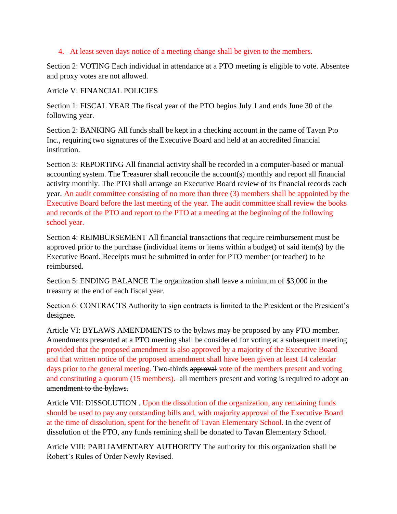### 4. At least seven days notice of a meeting change shall be given to the members.

Section 2: VOTING Each individual in attendance at a PTO meeting is eligible to vote. Absentee and proxy votes are not allowed.

### Article V: FINANCIAL POLICIES

Section 1: FISCAL YEAR The fiscal year of the PTO begins July 1 and ends June 30 of the following year.

Section 2: BANKING All funds shall be kept in a checking account in the name of Tavan Pto Inc., requiring two signatures of the Executive Board and held at an accredited financial institution.

Section 3: REPORTING All financial activity shall be recorded in a computer-based or manual accounting system. The Treasurer shall reconcile the account(s) monthly and report all financial activity monthly. The PTO shall arrange an Executive Board review of its financial records each year. An audit committee consisting of no more than three (3) members shall be appointed by the Executive Board before the last meeting of the year. The audit committee shall review the books and records of the PTO and report to the PTO at a meeting at the beginning of the following school year.

Section 4: REIMBURSEMENT All financial transactions that require reimbursement must be approved prior to the purchase (individual items or items within a budget) of said item(s) by the Executive Board. Receipts must be submitted in order for PTO member (or teacher) to be reimbursed.

Section 5: ENDING BALANCE The organization shall leave a minimum of \$3,000 in the treasury at the end of each fiscal year.

Section 6: CONTRACTS Authority to sign contracts is limited to the President or the President's designee.

Article VI: BYLAWS AMENDMENTS to the bylaws may be proposed by any PTO member. Amendments presented at a PTO meeting shall be considered for voting at a subsequent meeting provided that the proposed amendment is also approved by a majority of the Executive Board and that written notice of the proposed amendment shall have been given at least 14 calendar days prior to the general meeting. Two-thirds approval vote of the members present and voting and constituting a quorum (15 members). all members present and voting is required to adopt an amendment to the bylaws.

Article VII: DISSOLUTION . Upon the dissolution of the organization, any remaining funds should be used to pay any outstanding bills and, with majority approval of the Executive Board at the time of dissolution, spent for the benefit of Tavan Elementary School. In the event of dissolution of the PTO, any funds remining shall be donated to Tavan Elementary School.

Article VIII: PARLIAMENTARY AUTHORITY The authority for this organization shall be Robert's Rules of Order Newly Revised.